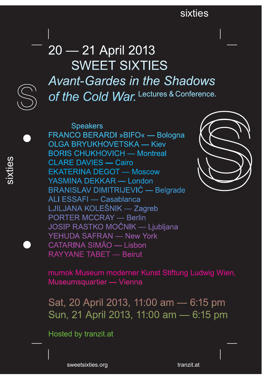## sixties sixties

# 20 — 21 April 2013 Sweet SixtieS *Avant-Gardes in the Shadows of the Cold War. Lectures & Conference.*

Speakers FRANCO BeRARDi »BiFO« — Bologna OLGA BRYUKHOVETSKA — Kiev BORiS ChukhOviCh — Montreal CLARe DAvieS — Cairo ekAteRiNA DegOt — Moscow YASMINA DEKKAR — London BRANISLAV DIMITRIJEVIĆ — Belgrade ALi eSSAFi — Casablanca LjiLjANA kOLeŠNik — Zagreb PORTER MCCRAY — Berlin Josip Rastko Močnik — Ljubljana YehuDA SAFRAN — New York CAtARiNA SiMãO — Lisbon RAYYANE TABET — Beirut



mumok Museum moderner kunst Stiftung Ludwig wien, Museumsquartier — Vienna

Sat, 20 April 2013, 11:00 am — 6:15 pm Sun, 21 April 2013, 11:00 am — 6:15 pm

hosted by tranzit.at

sixties

MF 1 sweetsixties.org tranzit.at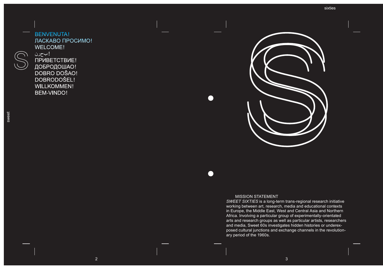## BENVENUTA! ласкаво просимо! WELCOME! ! بحرن приветствие!

добродошао! DOBRO DOŠAO! DOBRODOŠEL! WILLKOMMEN! BeM-viNDO!



### **MISSION STATEMENT**

*SWeet SixtieS* is a long-term trans-regional research initiative working between art, research, media and educational contexts in Europe, the Middle East, West and Central Asia and Northern Africa. involving a particular group of experimentally-orientated arts and research groups as well as particular artists, researchers and media, Sweet 60s investigates hidden histories or underexposed cultural junctions and exchange channels in the revolutionary period of the 1960s.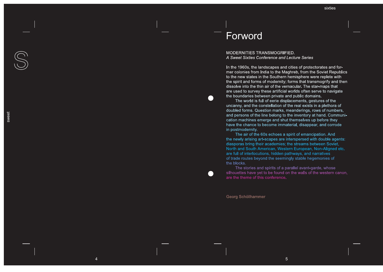# Forword

 $\begin{pmatrix} 1 \\ 1 \end{pmatrix}$ 

MODERNITIES TRANSMOGRIFIED. *A Sweet Sixties Conference and Lecture Series* 

In the 1960s, the landscapes and cities of protectorates and former colonies from india to the Maghreb, from the Soviet Republics to the new states in the Southern hemisphere were replete with the spirit and forms of modernity; forms that transmogrify and then dissolve into the thin air of the vernacular. The star-maps that are used to survey these artificial worlds often serve to navigate the boundaries between private and public domains.<br>The world is full of eerie displacements, gestures of the

uncanny, and the constellation of the real exists in a plethora of doubled forms. Question marks, meanderings, rows of numbers, and persons of the line belong to the inventory at hand. Communi cation machines emerge and shut themselves up before they have the chance to become immaterial, disappear, and corrode in postmodernity.<br>The air of the 60s echoes a spirit of emancipation. And

the newly arising art-scapes are interspersed with double agents: diasporas bring their academies; the streams between Soviet, North and South American, Western European, Non-Aligned etc. are full of interlocutions, hidden pathways, and narratives of trade routes beyond the seemingly stable hegemonies of the blocks.

The stories and spirits of a parallel avant-garde, whose silhouettes have yet to be found on the walls of the western canon, are the theme of this conference.

5

georg Schöllhammer

4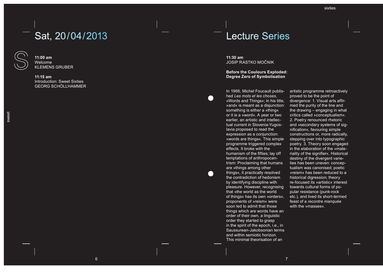# Sat, 20/04/2013



**11:00 am** welcome kLeMeNS gRuBeR

**11:15 am** introduction: Sweet Sixties geOR g SC hÖLL hAMMeR

## Lecture Series

**11:30 am** Josip Rastko Močnik

**Before the Coulours Exploded: Degree Zero of Symbolisation**

in 1966, Michel Foucault published *Les mots et les choses*, »Words and Things«; in his title, »and« is meant as a disjunction: something is either a »thing« or it is a »word«. A year or two earlier, an artistic and intellectual current in Slovenia-Yugos lavia proposed to read the expression as a conjunction: » words are things«. This simple programme triggered complex effects. it broke with the humanism of the fifties; lay off temptations of anthropocen trism: Proclaiming that humans are »things among other things«, it practically resolved the contradiction of hedonism by identifying discipline with pleasure. however, recognising that »the world as the world of things« has its own »orders«, proponents of »reism« were soon led to admit that those things which are words have an order of their own, a linguistic order they started to grasp in the spirit of the epoch, i.e., in Saussurean-jakobsonian terms and within semiotic horizon. This minimal theorisation of an

0

artistic programme retroactively proved to be the point of divergence: 1. Visual arts affirmed the purity of the line and the drawing – engaging in what critics called »conceptualism«. 2. Poetry renounced rhetoric and »secondary systems of signification«, favouring simple constructions or, more radically, stepping over into typographic poetry. 3. Theory soon engaged in the elaboration of the »materiality of the signifier«. Historical destiny of the divergent varieties has been uneven: conceptualism was canonised; poetic »reism« has been reduced to a historical digression; theory re-focused its »artistic« interest towards cultural forms of popular resistance (punk-rock etc.), and lived its short-termed feast of a *recontre manquée* with the »masses«.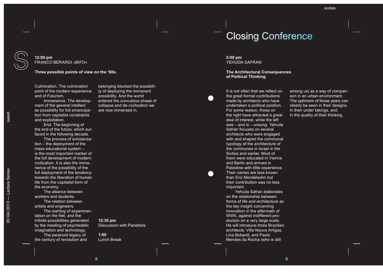sweet

### **12:00 pm** FRANCO BeRARDi »BiFO«

**Three possible points of view on the '60s.** 

Culmination. The culmination point of the modern experience and of Futurism.

Immanence. The development of the general intellect as possibility for full emancipation from capitalist constraints and exploitation.

End. The beginning of the end of the future, which surfaced in the following decade.

The process of scholarization – the deployment of the mass educational system – is the most important marker of the full development of modern civilization. it is also the immanence of the possibility of the full deployment of the tendency towards the liberation of human life from the capitalist form of the economy.

The alliance between workers and students. The relation between

artists and engineers. The starting of experimentation on the Net, and the infinite possibilities generated by the meeting of psychedelic imagination and technology. The paranoid legacy of the century of revolution and

belonging blocked the possibility of deploying the immanent possibility. And the world entered the convulsive phase of collapse and de-civilization we are now immersed in.

# **2:00 pm**

YEHUDA SAFRAN

**The Architectural Consequences of Political Thinking**

Closing Conference

It is not often that we reflect on the great formal contributions made by architects who have undertaken a political position. For some reason, those on the right have attracted a great deal of interest, while the left was – and is – unsung. Yehuda Safran focuses on several architects who were engaged with and shaped the communal typology of the architecture of the communes in israel in the Sixties and earlier. Most of them were educated in vienna and Berlin and arrived in Palestine with little experience. Their names are less known than Fric Mendelsohn but their contribution was no less important.

Yehuda Safran elaborates on the relationship between forms of life and architecture as the key insight concerning innovation in the aftermath of wwii, against indifferent production on a very large scale. he will introduce three Brazilian architects: villa Nouva Artigas, Lina Bobardi, and Paulo Mendes da Rocha (who is still

among us) as a way of comparison in an urban environment. The optimism of those years can clearly be seen in their designs, in their under takings, and in the quality of their thinking.

**12:30 pm**

**1:00** Lunch Break

Discussion with Panellists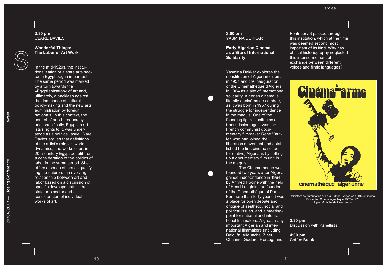### **2:30 pm**  CLAR e DAvie S

#### **Wonderful Things: The Labor of Art Work.**

in the mid-1920s, the institutionalization of a state arts sector in Egypt began in earnest. The same period was marked by a turn towards the »Eqyptianization« of art and, ultimately, a backlash against the dominance of cultural policy-making and the new arts administration by foreign nationals. in this context, the control of arts bureaucracy, and, specifically, Egyptian art ists's rights to it, was understood as a political issue. Clare Davies argues that definitions of the artist's role, art world dynamics, and works of art in 20th-century Egypt benefit from a consideration of the politics of labor in the same period. She offers a series of theses qualify ing the nature of an evolving relationship between art and labor based on a discussion of specific developments in the state arts sector and a consideration of individual works of art.

### **3:00 pm** YASMINA DEKKAR

### **Early Algerian Cinema as a Site of International Solidarity**

Yasmina Dekkar explores the constitution of Algerian cinema in 1957 and the inauguration of the Cinemathèque d'Algiers in 1964 as a site of international solidarity. Algerian cinema is literally a ›cinéma de combat‹, as it was born in 1957 during the struggle for independence in the maquis. One of the founding figures acting as a transmission agent was the French communist documentary filmmaker René Vaut ier, who had joined the liberation movement and established the first cinema school for (native) Algerians by setting up a documentary film unit in

The Cinemathèque was. founded two years after Algeria gained independence in 1964 by Ahmed Hocine with the help of henri Langlois, the founder of the Cinemathèque of Paris. For more than forty years it was a place for open debate and critique of aesthetic, social and political issues, and a meetingpoint for national and international filmmakers. A great many important Algerian and international filmmakers (including Beloufa, Allouache, Zinet, Chahine, godard, herzog, and

Pontecorvo) passed through this institution, which at the time was deemed second most important of its kind. why has official historiography neglected this intense moment of exchange between different voices and filmic languages?



Ministère de l'information et de la Culture – Alger (ed.) (1974) Cinéma: Production Cinématographique 1957—1973. Alger: Ministère de l'information.

**3:30 pm**  Discussion with Panellists

**4:00 pm** Coffee Break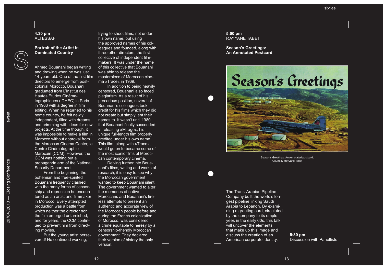### **4:30 pm**  ALi eSSAF i

**Portrait of the Artist in Dominated Country**

Ahmed Bouanani began writing

and drawing when he was just 14-years-old. one of the first film directors to emerge from postcolonial Morocco, Bouanani graduated from L' institut des Hautes Etudes Cinématographiques (IDHEC) in Paris in 1963 with a degree in film editing. when he returned to his home country, he felt newly independent, filled with dreams and brimming with ideas for new projects. At the time though, it was impossible to make a film in Morocco without approval from the Moroccan Cinema Center, le Centre Cinématographie Marocain (CCM). however, the CCM was nothing but a propaganda arm of the National Security Department.

From the beginning, the bohemian and free-spirited Bouanani frequently clashed with the many forms of censor ship and repression he encoun tered as an artist and filmmaker in Morocco. Every attempted production was a battle from which neither the director nor the film emerged untarnished, and for years, the CCM contin ued to prevent him from direct ing movies.

But the young artist perse vered! he continued working,

trying to shoot films, not under his own name, but using the approved names of his col leagues and founded, along with three other directors, the first collective of independent film makers. it was under the name of this collective that Bouanani was able to release the masterpiece of Moroccan cinema »Trace« in 1969.

in addition to being heavily censored, Bouanani also faced plagiarism. As a result of his precarious position, several of Bouanani's colleagues took credit for his films which they did not create but simply lent their names to. it wasn't until 1980 that Bouanani finally succeeded in releasing »Mirage«, his unique full-length film properly credited under his own name. This film, along with »Trace«, would go on to became some of the most iconic films of Moroc can contemporary cinema.

Delving further into Boua nani's films, writing and works of research, it is easy to see why the Moroccan government wanted to keep Bouanani silent.<br>The government wanted to alter the memories of native Moroccans and Bouanani's tire less attempts to present an authentic and accurate view of the Moroccan people before and during the French colonization of Morocco, was considered a crime equitable to heresy by a censorship-friendly Moroccan government. They declared their version of history the only

**5:00 pm** RAYYANE TABET

**Season's Greetings: An Annotated Postcard**



Seasons Greatings. An Annotated postcard, Courtesy Rayyane Tabet

The Trans-Arabian Pipeline Company built the world's longest pipeline linking Saudi Arabia to Lebanon. By examining a greeting card, circulated by the company to its employees in the early 60s, this talk will uncover the elements that make up this image and discuss the creation of an American corporate identity.

**5:30 pm**  Discussion with Panellists

version.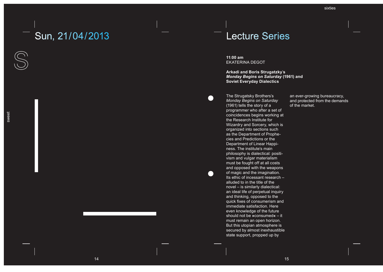# Sun, 21/04/2013 **Lecture Series**

**11:00 am** ekAteRiNA DegOt

 $\bullet$ 

 $\qquad \qquad \bullet$ 

**Arkadi and Boris Strugatzky**'**s**  *Monday Begins on Saturday* **(1961) and Soviet Everyday Dialectics**

The Strugatsky Brothers's *Monday Begins on Saturday* (1961) tells the story of a programmer who after a set of coincidences begins working at the Research institute for wizardry and Sorcery, which is organized into sections such as the Department of Prophecies and Predictions or the Department of Linear Happiness. The institute's main philosophy is dialectical: positivism and vulgar materialism must be fought off at all costs and opposed with the weapons of magic and the imagination. Its ethic of incessant research alluded to in the title of the novel – is similarly dialectical: an ideal life of perpetual inquiry and thinking, opposed to the quick fixes of consumerism and immediate satisfaction. Here even knowledge of the future should not be **»**consumed**«** – it must remain an open horizon. But this utopian atmosphere is secured by almost inexhaustible state support, propped up by

an ever-growing bureaucracy, and protected from the demands of the market.

 $\bigcirc$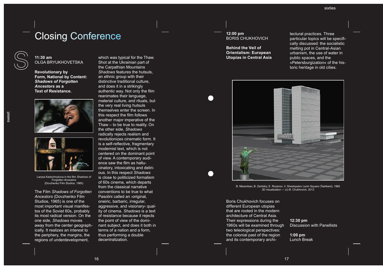## Closing Conference

**11:30 am**  OLGA BRYUKHOVETSKA

**Revolutionary by Form, National by Content:**  *Shadows of Forgotten Ancestors* **as a Text of Resistance.**





Larysa kadochnykova in the film *Shadows of Forgotten Ancestors* (Dovzhenko Film Studios, 1965)

the Film *Shadows of Forgotten Ancestors* (Dovzhenko Film Studios, 1965) is one of the most important visual manifestos of the Soviet 60s, probably its most radical version. On the one side, *Shadows* moves away from the center geographically. it realizes an interest to the periphery, the margins, the regions of underdevelopment,

which was typical for the Thaw. Shot at the Ukrainian part of the Carpathian Mountains *Shadows* features the hutsuls, an ethnic group with their distinctive traditional culture, and does it in a strikingly authentic way. Not only the film reanimates their language, material culture, and rituals, but the very real living hutsuls themselves enter the screen. in this respect the film follows another major imperative of the Thaw  $-$  to be true to reality. On the other side, *Shadows* radically rejects realism and revolutionizes cinematic form. it is a self-reflective, fragmentary modernist text, which is not centered on the dominant point of view. A contemporary audience saw the film as hallucinatory, intoxicating and delirious. in this respect *Shadows* is close to politicized formalism of 60s cinema, which departs from the classical narrative conventions to be true to what Pasolini called an ›original, oneiric, barbaric, irregular, aggressive, and visionary‹ quality of cinema. *Shadows* is a text of resistance because it rejects the point of view of the dominant subject, and does it both in terms of a nation and a form, thus performing a double decentralization.

#### **12:00 pm**  BORiS ChukhOviCh

**Behind the Veil of Orientalism: European Utopias in Central Asia**

tectural practices. Three particular topics will be specifically discussed: the socialistic melting pot in Central-Asian urbanism, the use of water in public spaces, and the »Petersburgization« of the historic heritage in old cities.



B. Mezentsev, B. Zaritzkiy, E. Rozanov, V. Shestopalov Lenin Square (Tashkent), 1965 3D visualization — (c) B. Chukhovich, 2013

Boris Chukhovich focuses on different European utopias that are rooted in the modern architecture of Central Asia. Their expressions during the 1960s will be examined through two teleological perspectives: the colonial past of the region and its contemporary archi-

**12:30 pm**  Discussion with Panellists

**1:00 pm** Lunch Break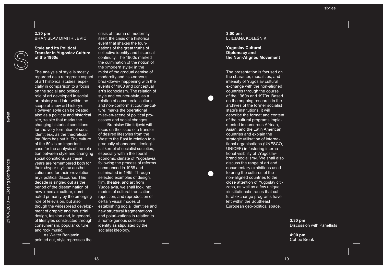### **2:30 pm** BRanisLaV DiMitRiJEViĆ

**Style and its Political Transfer in Yugoslav Culture of the 1960s**

The analysis of style is mostly regarded as a retrograde aspect of art historical studies, espe cially in comparison to a focus on the social and political role of art developed in social art history and later within the scope of »new art history«.<br>However, style can be treated also as a political and historical site, »a site that marks the changing historical conditions for the very formation of social identities«, as the theoretician<br>Ina Blom has put it. The culture of the 60s is an important case for the analysis of the rela tion between style and changing social conditions, as these years are remembered both for their »hyper-stylish« aesthetization and for their »revolution ary« political discourse. This decade is singled out as the period of the dissemination of new »media« culture, domi nated primarily by the emerging role of television, but also though the widespread develop ment of graphic and industrial design, fashion and, in general, of lifestyles constructed through consumerism, popular culture, and rock music.

As walter Benjamin pointed out, style represses the

crisis of trauma of modernity itself, the crisis of a historical event that shakes the foundations of the great truths of collective identity and historical continuity. the 1960s marked the culmination of the notion of the »modern style« in the midst of the gradual demise of modernity and its »nervous breakdown« happening with the events of 1968 and conceptual art's iconoclasm. The relation of style and counter-style, as a relation of commercial culture and non-conformist counter-cul ture, marks the operational mise-en-scene of political pro cesses and social changes.

Branislav Dimitrijević will focus on the issue of a transfer of desired lifestyles from the<br>West to the East in relation to a gradually abandoned ideologi cal kernel of socialist societies, especially within the liberal economic climate of Yugoslavia, following the process of reforms commenced in 1958 and culminated in 1965. Through selected examples of design, film, theatre, and art from Yugoslavia, we shall look into models of cultural translation, repetition, and reproduction of certain visual modes of establishing social identities and new structural fragmentations and polari-zations in relation to a homo-genous collective identity as stipulated by the socialist ideology.

**3:00 pm** LJILJANA KOLEŠNIK

**Yugoslav Cultural Diplomacy and the Non-Aligned Movement** 

The presentation is focused on the character, modalities, and intensity of Yugoslav cultural exchange with the non-aligned countries through the course of the 1960s and 1970s. Based on the ongoing research in the archives of the former socialist state's institutions, it will describe the format and content of the cultural programs imple mented in numerous African, Asian, and the Latin American countries and explain the strategic utilisation of international organisations (UNESCO, UNICEF) in fostering international visibility of »Yugoslavbrand socialism«. we shall also discuss the range of art and documentary exhibitions used to bring the cultures of the non-aligned countries to the close attention of Yugoslav citizens, as well as a few unique »institutional« traces that cultural exchange programs have left within the Southeast<br>European geo-political space.

> **3:30 pm**  Discussion with Panellists

**4:00 pm** Coffee Break

sweet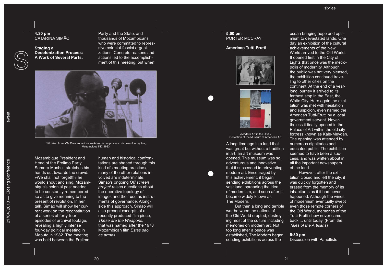#### **4:30 pm** CAtARiNA SiMãO

**Staging a Decolonization Process: A Work of Several Parts.** Party and the State, and thousands of Mozambicans who were committed to repres sive colonial-fascist organizations. Concrete reasons and actions led to the accomplishment of this meeting, but when



Still taken from »Os Comprometidos — Actas de um processo de descolonização«, Mozambique iNC 1983

Mozambique President and head of the Frelimo Party, Samora Machel, stretches his hands out towards the crowd: »we shall not forget!!!« he would shout and sing. Mozambique's colonial past needed to be constantly remembered so as to give meaning to the present of revolution. in her talk, Simão will show her current work on the reconstitution of a series of forty-four episodes of archival footage, revealing a highly intense four-day political meeting in Maputo in 1982. The meeting was held between the Frelimo

human and historical confrontations are shaped through this kind of »meeting practice«, many of the other relations involved are indeterminate. Simão's ongoing *Off screen project* raises questions about the operative topology of images and their use as instruments of governance. Alongside this approach, Simão will also present excerpts of a recently produced film piece, *these are the Weapons*, that was named after the 1978 Mozambican film *estas são as armas*.

### **5:00 pm** PORTER MCCRAY

#### **American Tutti-Frutti**





»Modern Art in the USA« Collection of the Museum of American Art

A long time ago in a land that was great but without a tradition in art, an art museum was opened. This museum was so adventurous and innovative that it succeeded in reinventing modern art. Encouraged by this achievement, it began sending exhibitions across the vast land, spreading the idea of modernism, and soon after it became widely known as The Modern.

But then a long and terrible war between the nations of the Old world erupted, destroying most of the culture including memories on modern art. Not too long after a peace was established, The Modern began sending exhibitions across the

ocean bringing hope and optimism to devastated lands. One day an exhibition of the cultural achievements of the New world arrived to the Old world. It opened first in the City of Lights that once was the metropolis of modernity. Although the public was not very pleased, the exhibition continued traveling to other cities on the continent. At the end of a yearlong journey it arrived to its farthest stop in the East, the White City. Here again the exhibition was met with hesitation and suspicion, even named the American Tutti-Frutti by a local government servant. Nevertheless it finally opened in the Palace of Art within the old city fortress known as Kale-Meydan. The opening was attended by numerous dignitaries and educated public. The exhibition seemed to have been a success, and was written about in all the important newspapers of the land.

however, after the exhibition closed and left the city, it was quickly forgotten and erased from the memory of its inhabitants as if it had never happened. Although the winds of modernism eventually swept even those remote corners of the Old world, memories of the Tutti-Frutti show never came back ... until today. (From the *tales of the Artisans* )

#### **5:30 pm**

Discussion with Panellists

sweet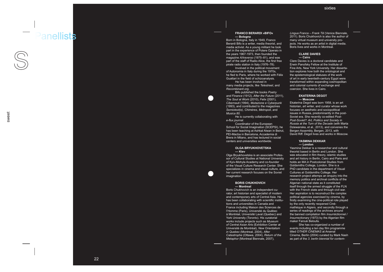## Panellists

#### **FRANCO BERARDI »BIFO« — Bologna**

Born in Bologna, italy in 1949, Franco Berardi Bifo is a writer, media theorist, and media activist. As a young militant he took part in the experience of Potere Operaio in the years 1967-1973, then founded the magazine *A/traverso* (1975–81), and was part of the staff of Radio Alice, the first free pirate radio station in Italy (1976–78).

involved in the political movement of Autonomia in italy during the 1970s, he fled to Paris, where he worked with Félix Guattari in the field of schizoanalysis.

He has been involved in many media projects, like *Telestreet*, and *Recombinant.org* .

Bifo published the books *Poetry and Finance* (1912), *After the Future* (2011), *the Soul at Work* (2010), *Felix* (2001), *Cibernauti* (1994), *Mutazione e Cyberpunk* (1993), and contributed to the magazines *Semiotext(e)*, *Chimères*, *Metropoli*, and *Musica 80*.

He is currently collaborating with *e-flux journal*.

Coordinator of the European School for Social Imagination (SCEPSI), he has been teaching at Ashkal Alwan in Beirut, Pei-Macba in Barcelona, Accademia di Brera in Milano, and has lectured in social centers and universities worldwide.

#### **OLGA BRYUkhOVETSkA — kiev**

Olga Bryukhovetska is an associate Professor of Cultural Studies at National University of kyiv-Mohyla Academy and co-founder of the visual Culture Research Center. She specializes in cinema and visual culture, and her current research focuses on the Soviet imagination.

#### **BORIS ChUkhOVICh — Montreal**

Boris Chukhovich is an independent curator, art historian and specialist of modern and contemporary arts of Central Asia. he has been collaborating with scientific institu tions and universities in Canada and France including Maison des Sciences de l'Homme (Paris), Université du Québec à Montréal, Université Laval (Quebec) and York University (Toronto). His curatorial works include projects such as *Museum*  of Central Asian Arts (Exhibition Center at université de Montréal), *New Orientalism in Quebec* (Montreal, 2004), *After Catastrophe* (Ottawa, 2004), *Return of the Metaphor* (Montreal Biennale, 2007),

*Lingua Franca – Frank tili* (venice Biennale, 2011). Boris Chukhovich is also the author of many virtual museum and university projects. he works as an artist in digital media. Boris lives and works in Montreal.

#### **CLARE DAVIES — Cairo**

Clare Davies is a doctoral candidate and erwin Panofsky Fellow at the institute of Fine Arts, New York University. Her dissertation explores how both the ontological and the epistemological statuses of the work of art in early twentieth-century Egypt were transformed within expanding cosmopolitan and colonial currents of exchange and coercion. She lives in Cairo.

#### **EkATERINA DEGOT — Moscow**

Ekaterina Degot was born 1958, is an art historian, art writer, and curator whose work focuses on aesthetic and sociopolitical issues in Russia, predominantly in the post-Soviet era. She recently co-edited *Post-Post-Soviet?*: *Art, Politics and Society in Russia at the turn of the Decade* (with Marta Dziewanska, et al., 2013), and convenes the Bergen Assembly, Bergen, 2013, with David Riff. Degot lives and works in Moscow.

#### **YASMINA DEkkAR — London**

Yasmina Dekkar is a researcher and cultural theorist based in Berlin and London. She was educated in film theory, islamic studies and art history in Berlin, Cairo and Paris and holds an MA in Postcolonial Studies from Goldsmiths College, London. She is a PhD candidate in the department of Visual Cultures at goldsmiths College. her research project attemps an enquiry into the memory politics and archival conflicts of the Algerian national state as it constituted itself through the armed struggle of the FLN with the French state and through civil war. Her aspiration is to reconstruct the complex political agencies exercised by cinema, by firstly examining the cine-political role played by the only recently reopened Cinémathèque in Algiers, and secondly through a series of readings of the archives around the banned compilation film *insurréctionnel / Insurrectionary* (1973) by the Algerian film maker Farouk Beloufa.

She has co-organized a number of events including a ten day film programme titled *OtHeR CiNeMAS* at Arsenal Cinema, Berlin (2004) curated by Mark Nash as part of the *3. berlin biennial for contem-*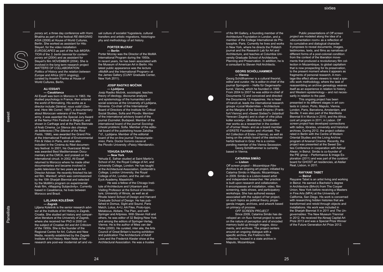*porary art*, a three day conference with Homi Bhabha as part of the festival *Re-iMAGiNiG*  ASIA (2008) at House of World Cultures, Berlin. She worked as assistant for hito Steyerl, for the video installation *eUROSCAPeS* as part of the hub *MiGRAtiON* of the *3. berlin biennial for contemporary art* (2004) and as assistant for steyerl's film *NOVeMBeR* (2004). She is involved in the long term research project *MATTERS OF COLLABORATION.*<br>*Politics of History and the relation between Purope and Africa (2011 ongoing),* curated by Anselm Franke at house of World Cultures, Berlin.

#### **ALI ESSAFI — Casablanca** ali Essafi was born in Morocco in 1963. He

studied psychology in France, then entered the world of filmmaking. His works as a director include *Général, nous voilà!* (*General, Here We Come!*, 1997), a documentary about Moroccan veterans of the French army. It was awarded the Special Jury Award at the Namur Film Festival in Belgium, and shown in Carthage and at the Paris Biennale of Arab Cinema. *Le Silence des champs de betteraves* (*the Silence of the Root Fields*, 1998), was awarded the grand Prix at the International Festival of Environmental Film & video in Paris, and was also included in the Cinéma du Réel documentary festival. in 2001, his *Ouarzazat Movie* was awarded Best Mediterranean Documentary at the CMCA, and praised on the international circuit. in 2002, ali Essafi returned to Morocco where he made other documentaries and became involved in public television for two years as an Art Director Adviser. He recently finished his latest film, *Wanted!*, which was commissioned by the 10th Sharjah Biennial and selected by the MoMA's program on experimental Arab film, »Mapping Subjectivity«. Currently based in Casablanca, he lives between Morocco and Brazil.

#### **LjILjANA kOLEšNIk — Zagreb**

Ljiljana kolešnik is the senior research advisor at the Institute of Art History in Zagreb. Croatia. She studied art history and comparative literature at the University of Zagreb, where she received her PhD in 2000 on the subject of *Croatian Art and Art Criticism of the 1950s*. She is the founder of the Regional Centre for Art, Culture and New Media, recently established by the Zagreb institute of art History. Main fields of her research are post-war modernist art and visual culture of socialist Yugoslavia, cultural transfers and artistic migrations, historiography and methodology of art history.

#### **PORTER McCRAY — Berlin**

Porter Mccray was the Director of the MoMA international Program during the 1950s. in recent years, he has been associated with the Museum of American Art in Berlin. His latest public appearance was the lecture »MoMA and the international Program« at the James Gallery (CUNY Graduate Center, New York 2011).

#### **Josip Rastko Močnik — Ljubljana**

Josip Rastko Močnik, sociologist, teaches theory of ideology, discourse analysis and epistemology of the humanities and social sciences at the University of Ljubljana, Slovenia. Co-chair of the international Board of Directors of the institute for Critical Social Studies, Sofia and Plovdiv. Member of the international advisory board of the journal *eszmélet*, Budapest. Member of the international board of the journal *Sociologicheski problemi*, Sofia. Member of the editorial board of the publishing house Založba /\*cf., Ljubljana. Member of the editorial board of the on-line journal Transeuropée*nnes*, Paris. Doctor *honoris causa* at the Plovdiv University »Paisiy Hilendarski«.

#### **YEhUDA SAFRAN — New York**

Yehuda E. Safran studied at Saint Martin's School of Art, the Royal College of Art, and University College, London. He has taught at the Architectural Association, goldsmith's College, London University, the Royal College of Art, London, and the Jan van<br>Eyck Academy, Maastricht.

he was a fellow of the Chicago institute of Architecture and Urbanism and visiting Professor at the School of Architecture, University of Illinois, as well as at Rhode island School of Design and harvard Graduate School of Design. He has published in Domus, Sight and Sound, Paris Match, Lotus, A+U, AA Files, Proto-typo, Metalocus, Abitare, The Plan, and with Springer and Artpress. with Steven holl and others, he was editor of 32 Beijing/New York and among the editors of Springer-verlag, vienna. he is the author of Mies van der Rohe (2000). he curated, inter alia, the Arts Council of great Britain's touring exhibition and publication The Architecture of Adolf Loos and the Frederick kiesler show at the Architectural Association. he was a trustee

of the 9H Gallery, a founding member of the Architecture Foundation in London, and a member of the College international de Philosophie, Paris. Currently he lives and works in New York, where he directs the Potlatch journal and the Research Lab for Art and Architecture, and teaches at Columbia University graduate School of Architecture, Planning and Preservation. in addition, he is a consultant to Steven holl Architects.

#### **GEORG SChöLLhAMMER — Vienna**

georg Schöllhammer is a cultural theorist, editor and curator. he is editor-in-chief of the iournal Springerin – Hefte für Gegenwartskunst, vienna, which he founded in 1995. From 2004 to 2007 he was editor-in-chief of Documenta 12 and conceived and directed the Documenta 12 magazines. he is head of tranzit.at, leads the international research groups »Local Modernities – Architecture at the Margins of the Soviet Empire« (Frankfurt/Vienna) and »Sweet Sixties?« (Istanbul/ Yerevan / Zagreb) and is chair of »the julius koller society«. (Bratislava). Schöllhammer works as a researcher in the context of »Former west« and as a board member of ERSTE Foundation and »Kontakt. The Art Collection of Erste« (Vienna), as well as being on the artistic board of the steirischer herbst festival in Graz. He is a corresponding member of the Vienna Secession. Georg Schöllhammer is currently

based in vienna.

#### **CATARINA SIMãO — Lisbon**

*Off screen project – Mozambique Film Archive* is an ongoing art project, initiated by Catarina Simão in Maputo, Mozambique, in 2009. Simão is a Lisbon-based artist and independent researcher. her practice is built upon research and collaboration. It encompasses art installation, video, film screening, radio shows, and participatory workshops. She has authored essays associated with the subject of her project, on such topics as political theory, propaganda images, archives, and artwork based on primacy of process.

*OFF SCReeN PROJeCt* Since 2009, Catarina Simão has developed an »in flux« format project to work on the nature of perception and of encoded memory build up through images, documents, and archives. The project centers around an ongoing dialogue with a specific archive, the Frelimo's film collection, housed in a state archive in Maputo, Mozambique.

Public presentations of *Off screen project* are modeled along the idea of a »documentation room« as a reflection of its cumulative and dialogical character. it proposes to reveal documents, images, testimonies, texts, and films as narratives of different forms of a post-colonial condition: from the context of the liberation movements that produced a revolutionary film col lection in Mozambique, to global capitalism that is now prospecting for its preservation, to the present moment where it appears as fragments of personal research. A montage-like effect allows viewers to read a specific work methodology, where the task of reassembling an archive genealogy weaves itself as an experience in relation to history and western epistemology – and not necessarily in relation to the past.

This ongoing project has been presented in its different stages in art contexts in Lisbon, Porto, Maputo, vienna, London, Paris, Barcelona, Amsterdam, and Seville. it was also part of the Manifesta Biennial 8 in Murcia in 2010, and the Africa. cont art program in 2011, in Lisbon. *Off screen project* has developed connections with radios, libraries, university and historical archives. During 2012, the project collaborated in Berlin with the Centre of Modern Oriental Studies and the Living Archive program of Arsenal Cinema. Recently, the project was presented at the Sweet Sixties Conference in cooperation with Ashkal Alwan, in Beirut. Simão is co-founder of the PIE group – Performance  $&$  Image Exploration (2011) and was part of the curators' board for GHOST art residencies, at Atelier Real, Lisbon, in 2011.

#### **RAYYANE TABET — Beirut**

Rayyane Tabet is an artist living and working in Beirut. he earned a Bachelor's degree in Architecture (BArch) from The Cooper Union, New York before receiving a Masters in Fine Arts (MFA) at the University of California, San Diego. His work is concerned with researching hidden histories that are transformed and retold through objects and installations. His work was included in the Sharjah Biennial X in 2011 and The Un*governables:* The New Museum Triennial in 2012. he received the Abraaj Capital Art Prize 2013 and was a Special Prize winner of the Future generation Art Prize 2012.

sweet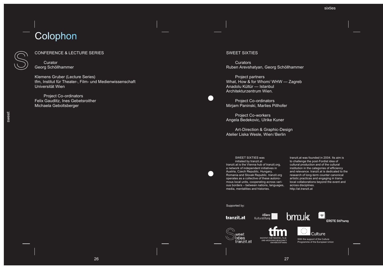# Colophon

### CONFeReNCe & LeCtuRe SeRieS

**Curator** georg Schöllhammer

klemens gruber (Lecture Series) tfm, Institut für Theater-, Film- und Medienwissenschaft universität wien

Project Co-ordinators Felix Gaudlitz, Ines Gebetsroither Michaela geboltsberger

#### SWEET SIXTIES

 $\blacksquare$ 

**Curators** Ruben Arevshatyan, georg Schöllhammer

Project partners what, how & for whom/ whw — Zagreb Anadolu kültür — istanbul Architekturzentrum wien.

Project Co-ordinators Mirjam Paninski, Marlies Pillhofer

Project Co-workers Angela Bedekovic, Ulrike Kuner

Art-Direction & Graphic-Design Atelier Liska wesle, wien/ Berlin

#### Sweet SixtieS was initiated by tranzit.at

tranzit.at is the Vienna hub of tranzit.org, a network of independent initiatives in Austria, Czech Republic, hungary, Romania and Slovak Republic. tranzit.org operates as a collective of these autonomous local units, cooperating across various borders – between nations, languages, media, mentalities and histories.

Allianz

INSTITUT FÜR THEATER-, FILM-UND MEDIENWISSENSCHAFT

UNIVERSITÄT WIEN

tranzit.at was founded in 2004. Its aim is to challenge the post-Fordist idea of cultural production and of the cultural institution in the categories of efficiency and relevance. tranzit.at is dedicated to the research of long-term counter canonical artistic practices and engaging in translocal collaborations beyond the event and across disciplines. http://at.tranzit.at

sixties

Supported by:



weet ixties

tranzit.at





**ERSTE Stiftung** 

with the support of the Culture Programme of the European Union